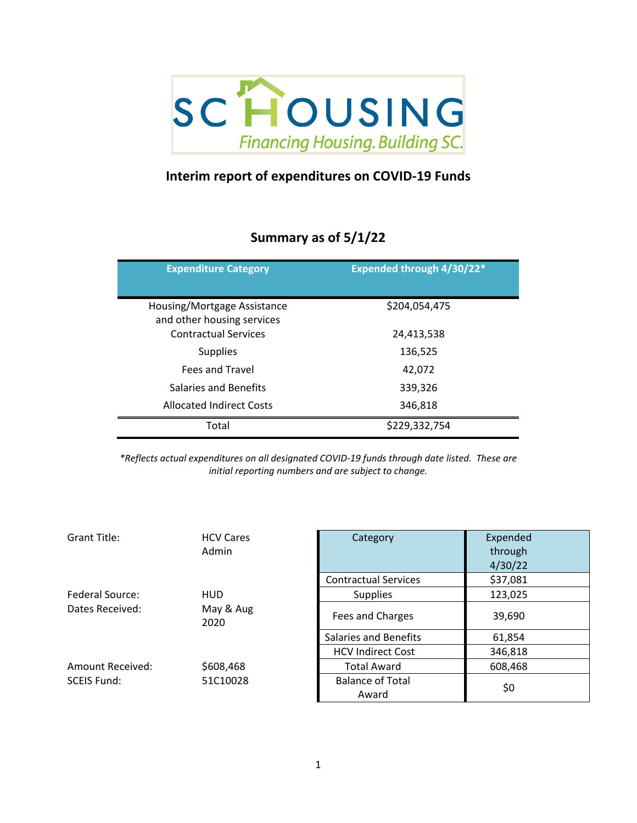

## **Interim report of expenditures on COVID‐19 Funds**

## **Summary as of 5/1/22**

| <b>Expenditure Category</b>                               | Expended through 4/30/22* |
|-----------------------------------------------------------|---------------------------|
| Housing/Mortgage Assistance<br>and other housing services | \$204,054,475             |
| <b>Contractual Services</b>                               | 24,413,538                |
| <b>Supplies</b>                                           | 136,525                   |
| Fees and Travel                                           | 42.072                    |
| Salaries and Benefits                                     | 339,326                   |
| <b>Allocated Indirect Costs</b>                           | 346,818                   |
| Total                                                     | \$229,332,754             |

*\*Reflects actual expenditures on all designated COVID‐19 funds through date listed. These are initial reporting numbers and are subject to change.*

| Grant Title:       | <b>HCV Cares</b>  | Category                         | Expended |
|--------------------|-------------------|----------------------------------|----------|
|                    | Admin             |                                  | through  |
|                    |                   |                                  | 4/30/22  |
|                    |                   | <b>Contractual Services</b>      | \$37,081 |
| Federal Source:    | <b>HUD</b>        | <b>Supplies</b>                  | 123,025  |
| Dates Received:    | May & Aug<br>2020 | Fees and Charges                 | 39,690   |
|                    |                   | Salaries and Benefits            | 61,854   |
|                    |                   | <b>HCV Indirect Cost</b>         | 346,818  |
| Amount Received:   | \$608,468         | <b>Total Award</b>               | 608,468  |
| <b>SCEIS Fund:</b> | 51C10028          | <b>Balance of Total</b><br>Award | \$0      |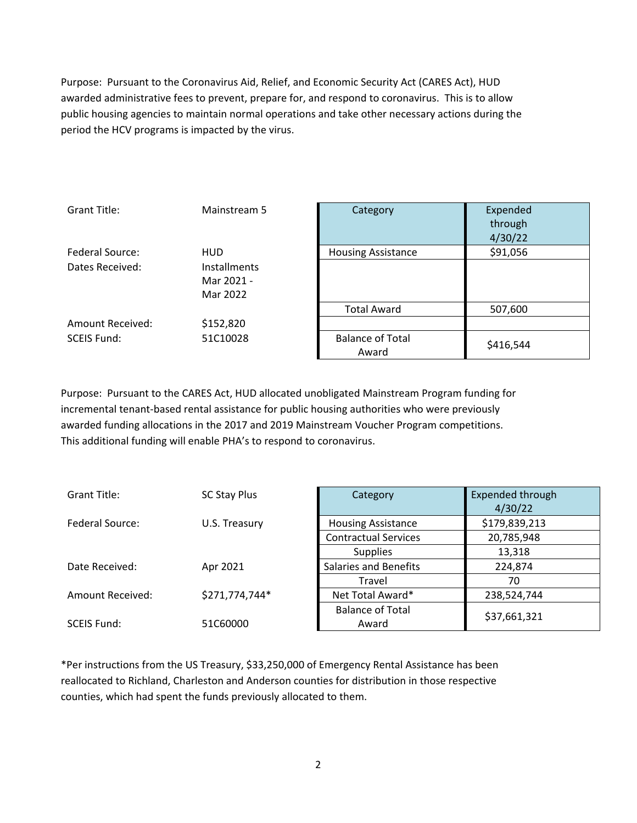Purpose: Pursuant to the Coronavirus Aid, Relief, and Economic Security Act (CARES Act), HUD awarded administrative fees to prevent, prepare for, and respond to coronavirus. This is to allow public housing agencies to maintain normal operations and take other necessary actions during the period the HCV programs is impacted by the virus.

| Grant Title:       | Mainstream 5        | Category                  | Expended  |
|--------------------|---------------------|---------------------------|-----------|
|                    |                     |                           | through   |
|                    |                     |                           | 4/30/22   |
| Federal Source:    | <b>HUD</b>          | <b>Housing Assistance</b> | \$91,056  |
| Dates Received:    | <b>Installments</b> |                           |           |
|                    | Mar 2021 -          |                           |           |
|                    | Mar 2022            |                           |           |
|                    |                     | <b>Total Award</b>        | 507,600   |
| Amount Received:   | \$152,820           |                           |           |
| <b>SCEIS Fund:</b> | 51C10028            | <b>Balance of Total</b>   |           |
|                    |                     | Award                     | \$416,544 |

Purpose: Pursuant to the CARES Act, HUD allocated unobligated Mainstream Program funding for incremental tenant‐based rental assistance for public housing authorities who were previously awarded funding allocations in the 2017 and 2019 Mainstream Voucher Program competitions. This additional funding will enable PHA's to respond to coronavirus.

| <b>Grant Title:</b> | SC Stay Plus   | Category                     | Expended through<br>4/30/22 |
|---------------------|----------------|------------------------------|-----------------------------|
| Federal Source:     | U.S. Treasury  | <b>Housing Assistance</b>    | \$179,839,213               |
|                     |                | <b>Contractual Services</b>  | 20,785,948                  |
|                     |                | <b>Supplies</b>              | 13,318                      |
| Date Received:      | Apr 2021       | <b>Salaries and Benefits</b> | 224,874                     |
|                     |                | Travel                       | 70                          |
| Amount Received:    | \$271,774,744* | Net Total Award*             | 238,524,744                 |
|                     |                | <b>Balance of Total</b>      | \$37,661,321                |
| <b>SCEIS Fund:</b>  | 51C60000       | Award                        |                             |

\*Per instructions from the US Treasury, \$33,250,000 of Emergency Rental Assistance has been reallocated to Richland, Charleston and Anderson counties for distribution in those respective counties, which had spent the funds previously allocated to them.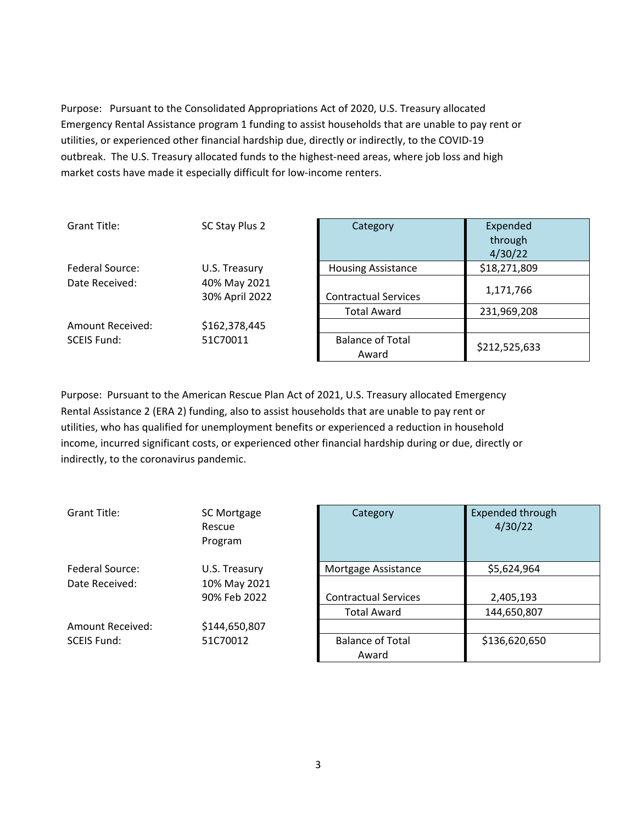Purpose: Pursuant to the Consolidated Appropriations Act of 2020, U.S. Treasury allocated Emergency Rental Assistance program 1 funding to assist households that are unable to pay rent or utilities, or experienced other financial hardship due, directly or indirectly, to the COVID‐19 outbreak. The U.S. Treasury allocated funds to the highest-need areas, where job loss and high market costs have made it especially difficult for low-income renters.

| Grant Title:       | SC Stay Plus 2                 | Category                         | Expended<br>through<br>4/30/22 |
|--------------------|--------------------------------|----------------------------------|--------------------------------|
| Federal Source:    | U.S. Treasury                  | <b>Housing Assistance</b>        | \$18,271,809                   |
| Date Received:     | 40% May 2021<br>30% April 2022 | <b>Contractual Services</b>      | 1,171,766                      |
|                    |                                | <b>Total Award</b>               | 231,969,208                    |
| Amount Received:   | \$162,378,445                  |                                  |                                |
| <b>SCEIS Fund:</b> | 51C70011                       | <b>Balance of Total</b><br>Award | \$212,525,633                  |

Purpose: Pursuant to the American Rescue Plan Act of 2021, U.S. Treasury allocated Emergency Rental Assistance 2 (ERA 2) funding, also to assist households that are unable to pay rent or utilities, who has qualified for unemployment benefits or experienced a reduction in household income, incurred significant costs, or experienced other financial hardship during or due, directly or indirectly, to the coronavirus pandemic.

| Grant Title:       | SC Mortgage<br>Rescue<br>Program | Category                         | <b>Expended throu</b><br>4/30/22 |
|--------------------|----------------------------------|----------------------------------|----------------------------------|
| Federal Source:    | U.S. Treasury                    | Mortgage Assistance              | \$5,624,964                      |
| Date Received:     | 10% May 2021                     |                                  |                                  |
|                    | 90% Feb 2022                     | <b>Contractual Services</b>      | 2,405,193                        |
|                    |                                  | <b>Total Award</b>               | 144,650,807                      |
| Amount Received:   | \$144,650,807                    |                                  |                                  |
| <b>SCEIS Fund:</b> | 51C70012                         | <b>Balance of Total</b><br>Award | \$136,620,650                    |

| <b>SC Mortgage</b><br>Rescue<br>Program | Category                    | <b>Expended through</b><br>4/30/22 |
|-----------------------------------------|-----------------------------|------------------------------------|
| U.S. Treasury                           | Mortgage Assistance         | \$5,624,964                        |
| 10% May 2021                            |                             |                                    |
| 90% Feb 2022                            | <b>Contractual Services</b> | 2,405,193                          |
|                                         | <b>Total Award</b>          | 144,650,807                        |
| \$144,650,807                           |                             |                                    |
| 51C70012                                | <b>Balance of Total</b>     | \$136,620,650                      |
|                                         | Award                       |                                    |